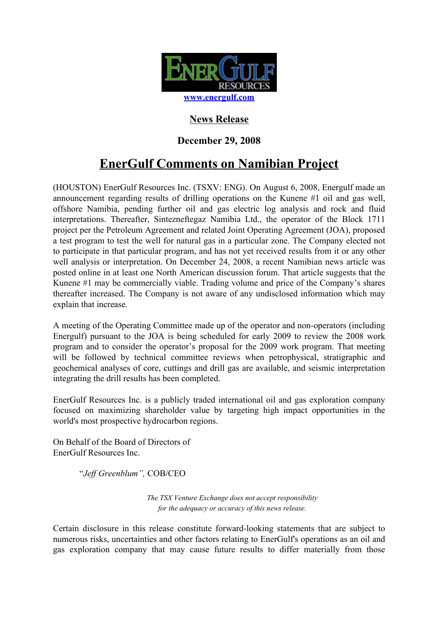

## **News Release**

## **December 29, 2008**

# **EnerGulf Comments on Namibian Project**

(HOUSTON) EnerGulf Resources Inc. (TSXV: ENG). On August 6, 2008, Energulf made an announcement regarding results of drilling operations on the Kunene #1 oil and gas well, offshore Namibia, pending further oil and gas electric log analysis and rock and fluid interpretations. Thereafter, Sintezneftegaz Namibia Ltd., the operator of the Block 1711 project per the Petroleum Agreement and related Joint Operating Agreement (JOA), proposed a test program to test the well for natural gas in a particular zone. The Company elected not to participate in that particular program, and has not yet received results from it or any other well analysis or interpretation. On December 24, 2008, a recent Namibian news article was posted online in at least one North American discussion forum. That article suggests that the Kunene #1 may be commercially viable. Trading volume and price of the Company's shares thereafter increased. The Company is not aware of any undisclosed information which may explain that increase.

A meeting of the Operating Committee made up of the operator and non-operators (including Energulf) pursuant to the JOA is being scheduled for early 2009 to review the 2008 work program and to consider the operator's proposal for the 2009 work program. That meeting will be followed by technical committee reviews when petrophysical, stratigraphic and geochemical analyses of core, cuttings and drill gas are available, and seismic interpretation integrating the drill results has been completed.

EnerGulf Resources Inc. is a publicly traded international oil and gas exploration company focused on maximizing shareholder value by targeting high impact opportunities in the world's most prospective hydrocarbon regions.

On Behalf of the Board of Directors of EnerGulf Resources Inc.

"*Jeff Greenblum",* COB/CEO

*The TSX Venture Exchange does not accept responsibility for the adequacy or accuracy of this news release.*

Certain disclosure in this release constitute forward-looking statements that are subject to numerous risks, uncertainties and other factors relating to EnerGulf's operations as an oil and gas exploration company that may cause future results to differ materially from those